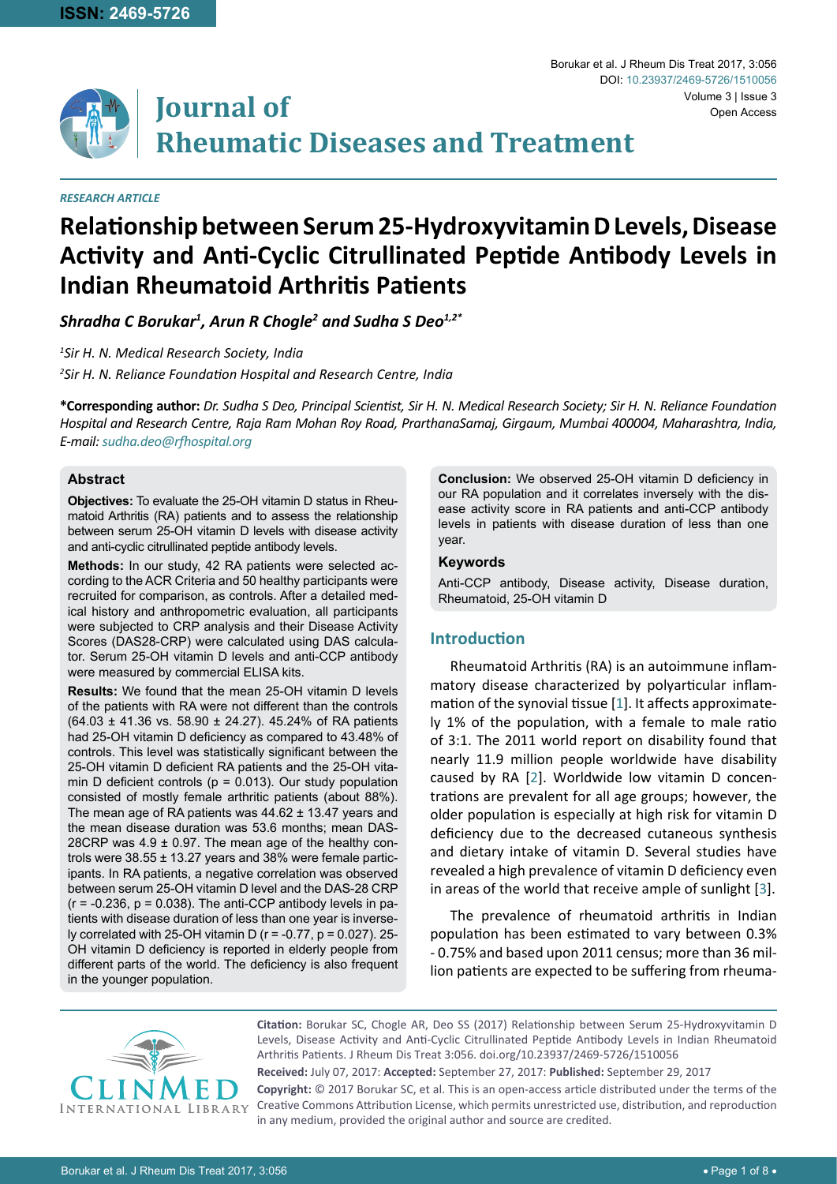

# **Journal of Rheumatic Diseases and Treatment**

#### *RESEARCH ARTICLE*

## **Relationship between Serum 25-Hydroxyvitamin D Levels, Disease Activity and Anti-Cyclic Citrullinated Peptide Antibody Levels in Indian Rheumatoid Arthritis Patients**

*Shradha C Borukar1 , Arun R Chogle2 and Sudha S Deo1,2\**

*1 Sir H. N. Medical Research Society, India 2 Sir H. N. Reliance Foundation Hospital and Research Centre, India*

**\*Corresponding author:** *Dr. Sudha S Deo, Principal Scientist, Sir H. N. Medical Research Society; Sir H. N. Reliance Foundation Hospital and Research Centre, Raja Ram Mohan Roy Road, PrarthanaSamaj, Girgaum, Mumbai 400004, Maharashtra, India, E-mail: sudha.deo@rfhospital.org*

#### **Abstract**

**Objectives:** To evaluate the 25-OH vitamin D status in Rheumatoid Arthritis (RA) patients and to assess the relationship between serum 25-OH vitamin D levels with disease activity and anti-cyclic citrullinated peptide antibody levels.

**Methods:** In our study, 42 RA patients were selected according to the ACR Criteria and 50 healthy participants were recruited for comparison, as controls. After a detailed medical history and anthropometric evaluation, all participants were subjected to CRP analysis and their Disease Activity Scores (DAS28-CRP) were calculated using DAS calculator. Serum 25-OH vitamin D levels and anti-CCP antibody were measured by commercial ELISA kits.

**Results:** We found that the mean 25-OH vitamin D levels of the patients with RA were not different than the controls (64.03 ± 41.36 vs. 58.90 ± 24.27). 45.24% of RA patients had 25-OH vitamin D deficiency as compared to 43.48% of controls. This level was statistically significant between the 25-OH vitamin D deficient RA patients and the 25-OH vitamin D deficient controls ( $p = 0.013$ ). Our study population consisted of mostly female arthritic patients (about 88%). The mean age of RA patients was  $44.62 \pm 13.47$  years and the mean disease duration was 53.6 months; mean DAS-28CRP was  $4.9 \pm 0.97$ . The mean age of the healthy controls were  $38.55 \pm 13.27$  years and  $38\%$  were female participants. In RA patients, a negative correlation was observed between serum 25-OH vitamin D level and the DAS-28 CRP  $(r = -0.236, p = 0.038)$ . The anti-CCP antibody levels in patients with disease duration of less than one year is inversely correlated with 25-OH vitamin D ( $r = -0.77$ ,  $p = 0.027$ ). 25-OH vitamin D deficiency is reported in elderly people from different parts of the world. The deficiency is also frequent in the younger population.

**Conclusion:** We observed 25-OH vitamin D deficiency in our RA population and it correlates inversely with the disease activity score in RA patients and anti-CCP antibody levels in patients with disease duration of less than one year.

#### **Keywords**

Anti-CCP antibody, Disease activity, Disease duration, Rheumatoid, 25-OH vitamin D

#### **Introduction**

Rheumatoid Arthritis (RA) is an autoimmune inflammatory disease characterized by polyarticular inflammation of the synovial tissue [[1](#page-6-0)]. It affects approximately 1% of the population, with a female to male ratio of 3:1. The 2011 world report on disability found that nearly 11.9 million people worldwide have disability caused by RA [[2](#page-6-1)]. Worldwide low vitamin D concentrations are prevalent for all age groups; however, the older population is especially at high risk for vitamin D deficiency due to the decreased cutaneous synthesis and dietary intake of vitamin D. Several studies have revealed a high prevalence of vitamin D deficiency even in areas of the world that receive ample of sunlight [\[3\]](#page-6-2).

The prevalence of rheumatoid arthritis in Indian population has been estimated to vary between 0.3% - 0.75% and based upon 2011 census; more than 36 million patients are expected to be suffering from rheuma-



**Citation:** Borukar SC, Chogle AR, Deo SS (2017) Relationship between Serum 25-Hydroxyvitamin D Levels, Disease Activity and Anti-Cyclic Citrullinated Peptide Antibody Levels in Indian Rheumatoid Arthritis Patients. J Rheum Dis Treat 3:056. [doi.org/10.23937/2469-5726/151005](https://doi.org/10.23937/2469-5726/1510056)6

**Received:** July 07, 2017: **Accepted:** September 27, 2017: **Published:** September 29, 2017 **Copyright:** © 2017 Borukar SC, et al. This is an open-access article distributed under the terms of the Creative Commons Attribution License, which permits unrestricted use, distribution, and reproduction in any medium, provided the original author and source are credited.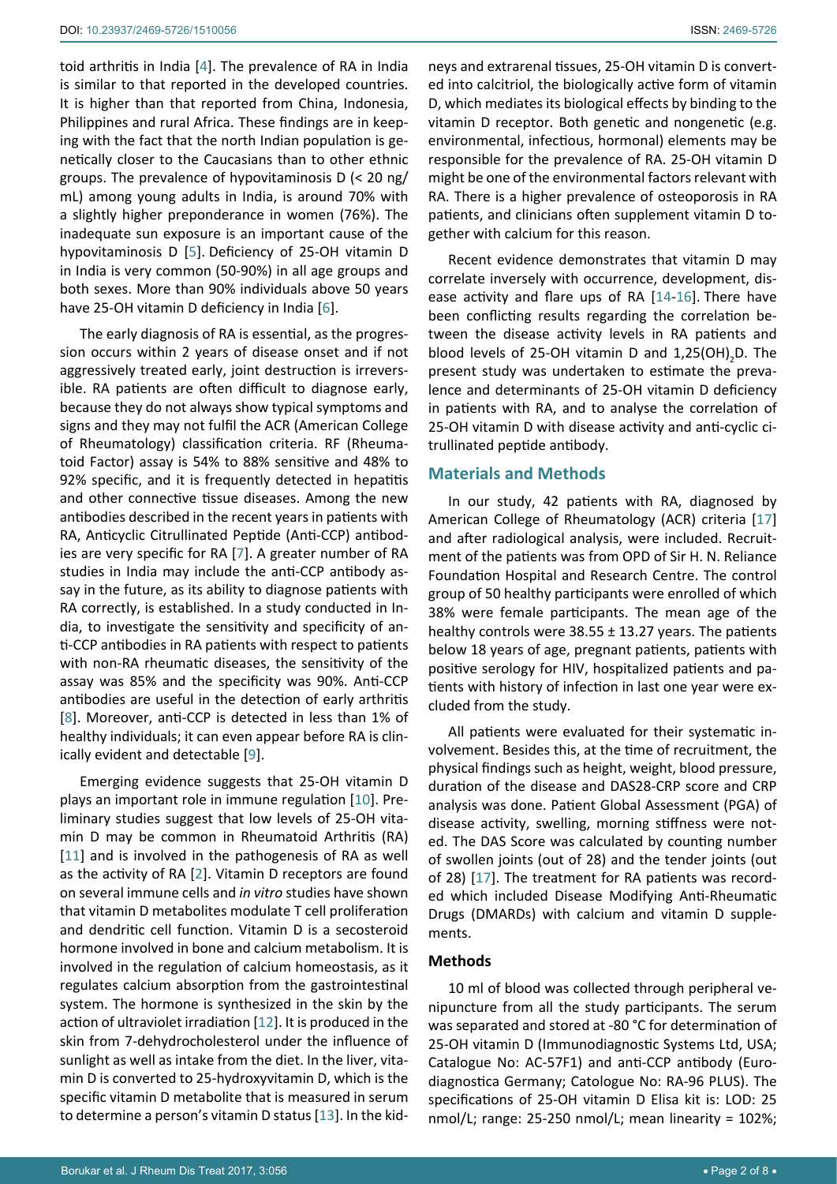toid arthritis in India [\[4\]](#page-6-6). The prevalence of RA in India is similar to that reported in the developed countries. It is higher than that reported from China, Indonesia, Philippines and rural Africa. These findings are in keeping with the fact that the north Indian population is genetically closer to the Caucasians than to other ethnic groups. The prevalence of hypovitaminosis D (< 20 ng/ mL) among young adults in India, is around 70% with a slightly higher preponderance in women (76%). The inadequate sun exposure is an important cause of the hypovitaminosis D [\[5\]](#page-6-7). Deficiency of 25-OH vitamin D in India is very common (50-90%) in all age groups and both sexes. More than 90% individuals above 50 years have 25-OH vitamin D deficiency in India [\[6\]](#page-6-8).

The early diagnosis of RA is essential, as the progression occurs within 2 years of disease onset and if not aggressively treated early, joint destruction is irreversible. RA patients are often difficult to diagnose early, because they do not always show typical symptoms and signs and they may not fulfil the ACR (American College of Rheumatology) classification criteria. RF (Rheumatoid Factor) assay is 54% to 88% sensitive and 48% to 92% specific, and it is frequently detected in hepatitis and other connective tissue diseases. Among the new antibodies described in the recent years in patients with RA, Anticyclic Citrullinated Peptide (Anti-CCP) antibodies are very specific for RA [[7](#page-6-9)]. A greater number of RA studies in India may include the anti-CCP antibody assay in the future, as its ability to diagnose patients with RA correctly, is established. In a study conducted in India, to investigate the sensitivity and specificity of anti-CCP antibodies in RA patients with respect to patients with non-RA rheumatic diseases, the sensitivity of the assay was 85% and the specificity was 90%. Anti-CCP antibodies are useful in the detection of early arthritis [[8](#page-6-10)]. Moreover, anti-CCP is detected in less than 1% of healthy individuals; it can even appear before RA is clinically evident and detectable [[9](#page-6-11)].

Emerging evidence suggests that 25-OH vitamin D plays an important role in immune regulation [[10](#page-6-12)]. Preliminary studies suggest that low levels of 25-OH vitamin D may be common in Rheumatoid Arthritis (RA) [[11](#page-6-13)] and is involved in the pathogenesis of RA as well as the activity of RA [[2](#page-6-1)]. Vitamin D receptors are found on several immune cells and *in vitro* studies have shown that vitamin D metabolites modulate T cell proliferation and dendritic cell function. Vitamin D is a secosteroid hormone involved in bone and calcium metabolism. It is involved in the regulation of calcium homeostasis, as it regulates calcium absorption from the gastrointestinal system. The hormone is synthesized in the skin by the action of ultraviolet irradiation [[12](#page-6-14)]. It is produced in the skin from 7-dehydrocholesterol under the influence of sunlight as well as intake from the diet. In the liver, vitamin D is converted to 25-hydroxyvitamin D, which is the specific vitamin D metabolite that is measured in serum to determine a person's vitamin D status [\[13](#page-6-15)]. In the kid-

neys and extrarenal tissues, 25-OH vitamin D is converted into calcitriol, the biologically active form of vitamin D, which mediates its biological effects by binding to the vitamin D receptor. Both genetic and nongenetic (e.g. environmental, infectious, hormonal) elements may be responsible for the prevalence of RA. 25-OH vitamin D might be one of the environmental factors relevant with RA. There is a higher prevalence of osteoporosis in RA patients, and clinicians often supplement vitamin D together with calcium for this reason.

Recent evidence demonstrates that vitamin D may correlate inversely with occurrence, development, disease activity and flare ups of RA [\[14-](#page-6-3)[16](#page-6-4)]. There have been conflicting results regarding the correlation between the disease activity levels in RA patients and blood levels of 25-OH vitamin D and  $1,25(OH)_{2}D$ . The present study was undertaken to estimate the prevalence and determinants of 25-OH vitamin D deficiency in patients with RA, and to analyse the correlation of 25-OH vitamin D with disease activity and anti-cyclic citrullinated peptide antibody.

## **Materials and Methods**

In our study, 42 patients with RA, diagnosed by American College of Rheumatology (ACR) criteria [[17](#page-6-5)] and after radiological analysis, were included. Recruitment of the patients was from OPD of Sir H. N. Reliance Foundation Hospital and Research Centre. The control group of 50 healthy participants were enrolled of which 38% were female participants. The mean age of the healthy controls were  $38.55 \pm 13.27$  years. The patients below 18 years of age, pregnant patients, patients with positive serology for HIV, hospitalized patients and patients with history of infection in last one year were excluded from the study.

All patients were evaluated for their systematic involvement. Besides this, at the time of recruitment, the physical findings such as height, weight, blood pressure, duration of the disease and DAS28-CRP score and CRP analysis was done. Patient Global Assessment (PGA) of disease activity, swelling, morning stiffness were noted. The DAS Score was calculated by counting number of swollen joints (out of 28) and the tender joints (out of 28) [[17](#page-6-5)]. The treatment for RA patients was recorded which included Disease Modifying Anti-Rheumatic Drugs (DMARDs) with calcium and vitamin D supplements.

#### **Methods**

10 ml of blood was collected through peripheral venipuncture from all the study participants. The serum was separated and stored at -80 °C for determination of 25-OH vitamin D (Immunodiagnostic Systems Ltd, USA; Catalogue No: AC-57F1) and anti-CCP antibody (Eurodiagnostica Germany; Catologue No: RA-96 PLUS). The specifications of 25-OH vitamin D Elisa kit is: LOD: 25 nmol/L; range: 25-250 nmol/L; mean linearity = 102%;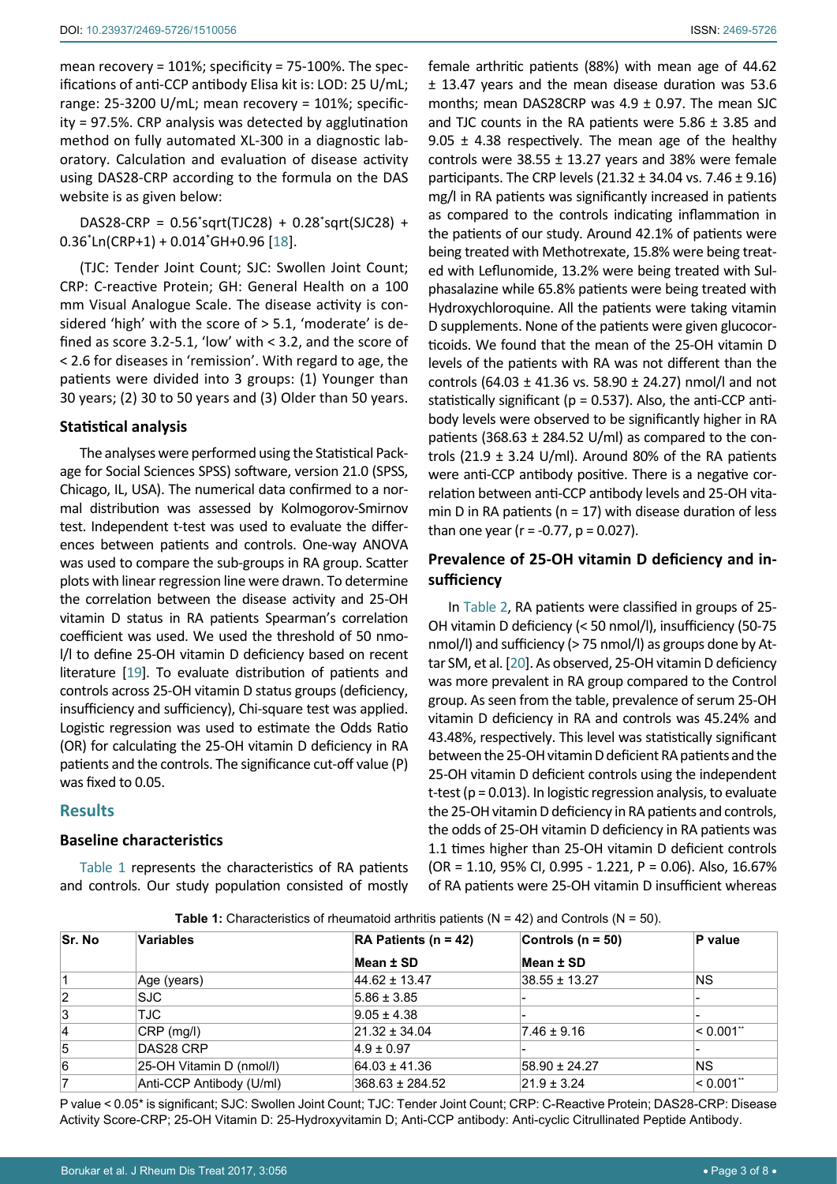mean recovery = 101%; specificity = 75-100%. The specifications of anti-CCP antibody Elisa kit is: LOD: 25 U/mL; range: 25-3200 U/mL; mean recovery = 101%; specificity = 97.5%. CRP analysis was detected by agglutination method on fully automated XL-300 in a diagnostic laboratory. Calculation and evaluation of disease activity using DAS28-CRP according to the formula on the DAS website is as given below:

DAS28-CRP = 0.56\* sqrt(TJC28) + 0.28\* sqrt(SJC28) + 0.36\* Ln(CRP+1) + 0.014\* GH+0.96 [\[18](#page-6-17)].

(TJC: Tender Joint Count; SJC: Swollen Joint Count; CRP: C-reactive Protein; GH: General Health on a 100 mm Visual Analogue Scale. The disease activity is considered 'high' with the score of > 5.1, 'moderate' is defined as score 3.2-5.1, 'low' with < 3.2, and the score of < 2.6 for diseases in 'remission'. With regard to age, the patients were divided into 3 groups: (1) Younger than 30 years; (2) 30 to 50 years and (3) Older than 50 years.

#### **Statistical analysis**

The analyses were performed using the Statistical Package for Social Sciences SPSS) software, version 21.0 (SPSS, Chicago, IL, USA). The numerical data confirmed to a normal distribution was assessed by Kolmogorov-Smirnov test. Independent t-test was used to evaluate the differences between patients and controls. One-way ANOVA was used to compare the sub-groups in RA group. Scatter plots with linear regression line were drawn. To determine the correlation between the disease activity and 25-OH vitamin D status in RA patients Spearman's correlation coefficient was used. We used the threshold of 50 nmol/l to define 25-OH vitamin D deficiency based on recent literature [\[19\]](#page-6-18). To evaluate distribution of patients and controls across 25-OH vitamin D status groups (deficiency, insufficiency and sufficiency), Chi-square test was applied. Logistic regression was used to estimate the Odds Ratio (OR) for calculating the 25-OH vitamin D deficiency in RA patients and the controls. The significance cut-off value (P) was fixed to 0.05.

## **Results**

#### **Baseline characteristics**

[Table 1](#page-2-0) represents the characteristics of RA patients and controls. Our study population consisted of mostly female arthritic patients (88%) with mean age of 44.62 ± 13.47 years and the mean disease duration was 53.6 months; mean DAS28CRP was  $4.9 \pm 0.97$ . The mean SJC and TJC counts in the RA patients were  $5.86 \pm 3.85$  and 9.05  $\pm$  4.38 respectively. The mean age of the healthy controls were  $38.55 \pm 13.27$  years and 38% were female participants. The CRP levels  $(21.32 \pm 34.04 \text{ vs. } 7.46 \pm 9.16)$ mg/l in RA patients was significantly increased in patients as compared to the controls indicating inflammation in the patients of our study. Around 42.1% of patients were being treated with Methotrexate, 15.8% were being treated with Leflunomide, 13.2% were being treated with Sulphasalazine while 65.8% patients were being treated with Hydroxychloroquine. All the patients were taking vitamin D supplements. None of the patients were given glucocorticoids. We found that the mean of the 25-OH vitamin D levels of the patients with RA was not different than the controls (64.03  $\pm$  41.36 vs. 58.90  $\pm$  24.27) nmol/l and not statistically significant ( $p = 0.537$ ). Also, the anti-CCP antibody levels were observed to be significantly higher in RA patients (368.63  $\pm$  284.52 U/ml) as compared to the controls (21.9  $\pm$  3.24 U/ml). Around 80% of the RA patients were anti-CCP antibody positive. There is a negative correlation between anti-CCP antibody levels and 25-OH vitamin D in RA patients ( $n = 17$ ) with disease duration of less than one year ( $r = -0.77$ ,  $p = 0.027$ ).

## **Prevalence of 25-OH vitamin D deficiency and insufficiency**

In [Table 2](#page-3-0), RA patients were classified in groups of 25- OH vitamin D deficiency (< 50 nmol/l), insufficiency (50-75 nmol/l) and sufficiency (> 75 nmol/l) as groups done by Attar SM, et al. [[20](#page-6-16)]. As observed, 25-OH vitamin D deficiency was more prevalent in RA group compared to the Control group. As seen from the table, prevalence of serum 25-OH vitamin D deficiency in RA and controls was 45.24% and 43.48%, respectively. This level was statistically significant between the 25-OH vitamin D deficient RA patients and the 25-OH vitamin D deficient controls using the independent t-test (p = 0.013). In logistic regression analysis, to evaluate the 25-OH vitamin D deficiency in RA patients and controls, the odds of 25-OH vitamin D deficiency in RA patients was 1.1 times higher than 25-OH vitamin D deficient controls (OR = 1.10, 95% CI, 0.995 - 1.221, P = 0.06). Also, 16.67% of RA patients were 25-OH vitamin D insufficient whereas

<span id="page-2-0"></span>**Table 1:** Characteristics of rheumatoid arthritis patients (N = 42) and Controls (N = 50).

| <b>Sr. No</b>  | <b>Variables</b>         | RA Patients ( $n = 42$ ) | Controls ( $n = 50$ ) | P value         |
|----------------|--------------------------|--------------------------|-----------------------|-----------------|
|                |                          | Mean ± SD                | Mean ± SD             |                 |
|                | Age (years)              | $44.62 \pm 13.47$        | $38.55 \pm 13.27$     | NS.             |
| $\overline{2}$ | <b>SJC</b>               | $5.86 \pm 3.85$          |                       |                 |
| 3              | TJC.                     | $9.05 \pm 4.38$          |                       |                 |
| 4              | $CRP$ (mg/l)             | $21.32 \pm 34.04$        | $7.46 \pm 9.16$       | $< 0.001$ "     |
| 5              | DAS28 CRP                | $4.9 \pm 0.97$           |                       |                 |
| 6              | 25-OH Vitamin D (nmol/l) | $64.03 \pm 41.36$        | $58.90 \pm 24.27$     | NS.             |
|                | Anti-CCP Antibody (U/ml) | $368.63 \pm 284.52$      | $21.9 \pm 3.24$       | $ $ < 0.001 $"$ |

P value < 0.05\* is significant; SJC: Swollen Joint Count; TJC: Tender Joint Count; CRP: C-Reactive Protein; DAS28-CRP: Disease Activity Score-CRP; 25-OH Vitamin D: 25-Hydroxyvitamin D; Anti-CCP antibody: Anti-cyclic Citrullinated Peptide Antibody.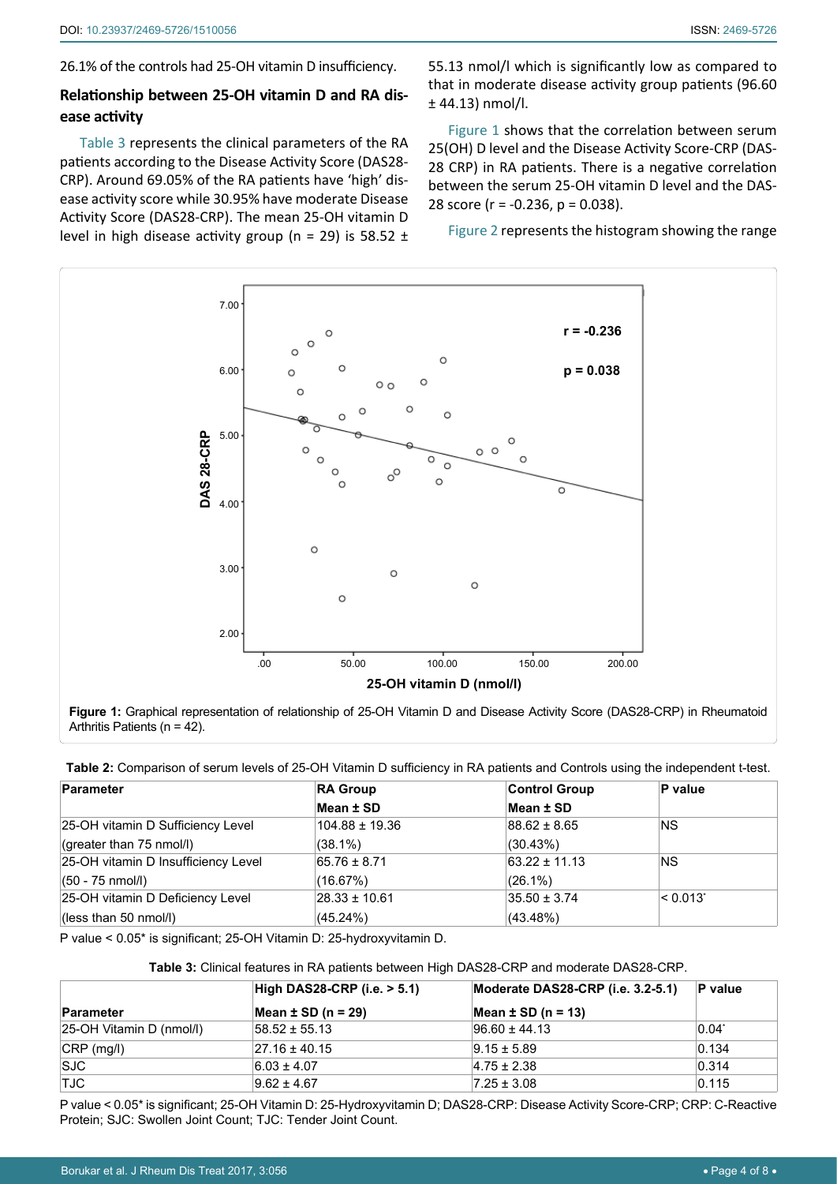26.1% of the controls had 25-OH vitamin D insufficiency.

## **Relationship between 25-OH vitamin D and RA disease activity**

[Table 3](#page-3-1) represents the clinical parameters of the RA patients according to the Disease Activity Score (DAS28- CRP). Around 69.05% of the RA patients have 'high' disease activity score while 30.95% have moderate Disease Activity Score (DAS28-CRP). The mean 25-OH vitamin D level in high disease activity group (n = 29) is 58.52  $\pm$  55.13 nmol/l which is significantly low as compared to that in moderate disease activity group patients (96.60 ± 44.13) nmol/l.

[Figure 1](#page-3-2) shows that the correlation between serum 25(OH) D level and the Disease Activity Score-CRP (DAS-28 CRP) in RA patients. There is a negative correlation between the serum 25-OH vitamin D level and the DAS-28 score (r = -0.236, p = 0.038).

[Figure 2](#page-4-0) represents the histogram showing the range

<span id="page-3-2"></span>

**Figure 1:** Graphical representation of relationship of 25-OH Vitamin D and Disease Activity Score (DAS28-CRP) in Rheumatoid Arthritis Patients (n = 42).

<span id="page-3-0"></span>

| Table 2: Comparison of serum levels of 25-OH Vitamin D sufficiency in RA patients and Controls using the independent t-test. |  |  |
|------------------------------------------------------------------------------------------------------------------------------|--|--|
|------------------------------------------------------------------------------------------------------------------------------|--|--|

| Parameter                           | <b>RA Group</b>    | <b>Control Group</b> | P value                |
|-------------------------------------|--------------------|----------------------|------------------------|
|                                     | Mean ± SD          | Mean ± SD            |                        |
| 25-OH vitamin D Sufficiency Level   | $104.88 \pm 19.36$ | $88.62 \pm 8.65$     | <b>NS</b>              |
| (greater than 75 nmol/l)            | $(38.1\%)$         | (30.43%)             |                        |
| 25-OH vitamin D Insufficiency Level | $65.76 \pm 8.71$   | $63.22 \pm 11.13$    | <b>NS</b>              |
| $(50 - 75 \text{ nmol/l})$          | (16.67%)           | $(26.1\%)$           |                        |
| 25-OH vitamin D Deficiency Level    | $28.33 \pm 10.61$  | $35.50 \pm 3.74$     | $ $ < 0.013 $^{\circ}$ |
| $\vert$ (less than 50 nmol/l)       | $(45.24\%)$        | (43.48%)             |                        |

P value < 0.05\* is significant; 25-OH Vitamin D: 25-hydroxyvitamin D.

<span id="page-3-1"></span>**Table 3:** Clinical features in RA patients between High DAS28-CRP and moderate DAS28-CRP.

|                          | $\mid$ High DAS28-CRP (i.e. $> 5.1$ ) | Moderate DAS28-CRP (i.e. 3.2-5.1) | $P$ value |
|--------------------------|---------------------------------------|-----------------------------------|-----------|
| Parameter                | Mean $\pm$ SD (n = 29)                | Mean $\pm$ SD (n = 13)            |           |
| 25-OH Vitamin D (nmol/l) | $58.52 \pm 55.13$                     | $96.60 \pm 44.13$                 | $0.04^*$  |
| $ CRP$ (mg/l)            | $27.16 \pm 40.15$                     | $9.15 \pm 5.89$                   | 0.134     |
| <b>SJC</b>               | $6.03 \pm 4.07$                       | $4.75 \pm 2.38$                   | 0.314     |
| TJC                      | $9.62 \pm 4.67$                       | $7.25 \pm 3.08$                   | 0.115     |

P value < 0.05\* is significant; 25-OH Vitamin D: 25-Hydroxyvitamin D; DAS28-CRP: Disease Activity Score-CRP; CRP: C-Reactive Protein; SJC: Swollen Joint Count; TJC: Tender Joint Count.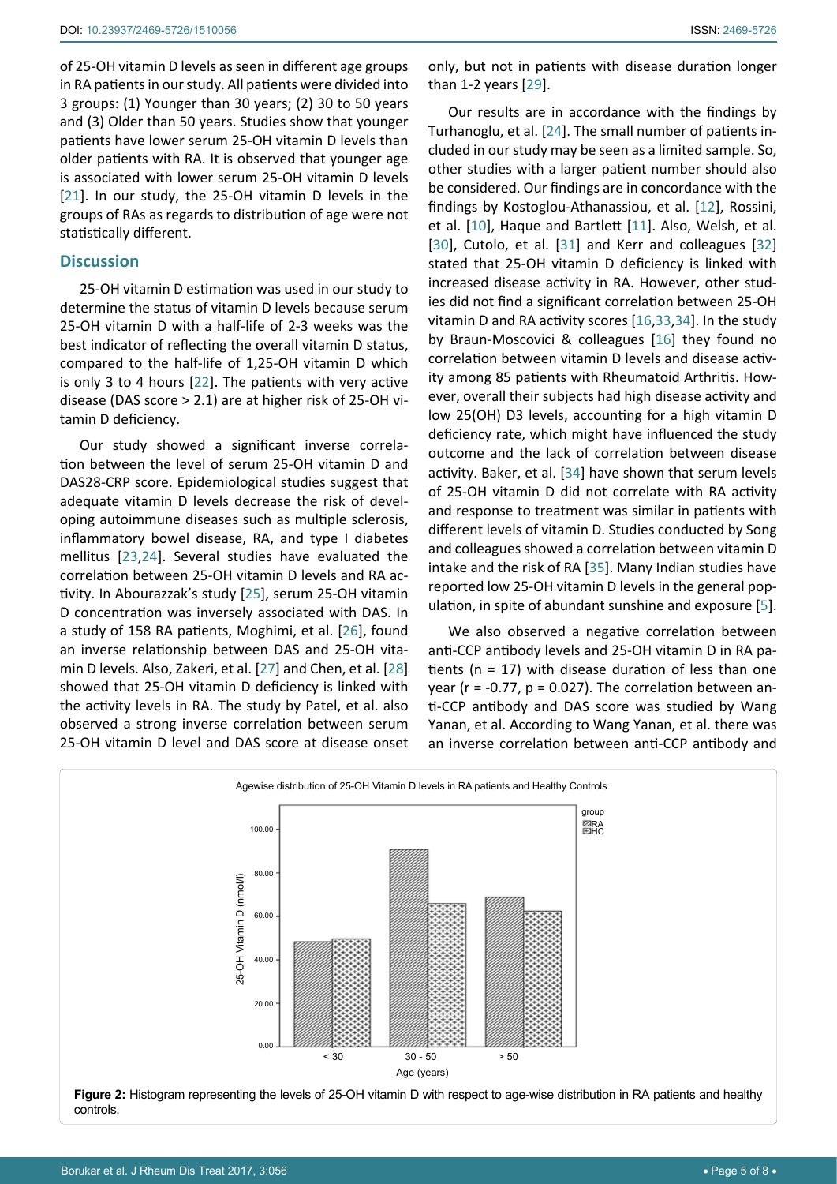of 25-OH vitamin D levels as seen in different age groups in RA patients in our study. All patients were divided into 3 groups: (1) Younger than 30 years; (2) 30 to 50 years and (3) Older than 50 years. Studies show that younger patients have lower serum 25-OH vitamin D levels than older patients with RA. It is observed that younger age is associated with lower serum 25-OH vitamin D levels [[21](#page-6-19)]. In our study, the 25-OH vitamin D levels in the groups of RAs as regards to distribution of age were not statistically different.

#### **Discussion**

25-OH vitamin D estimation was used in our study to determine the status of vitamin D levels because serum 25-OH vitamin D with a half-life of 2-3 weeks was the best indicator of reflecting the overall vitamin D status, compared to the half-life of 1,25-OH vitamin D which is only 3 to 4 hours [[22](#page-6-20)]. The patients with very active disease (DAS score > 2.1) are at higher risk of 25-OH vitamin D deficiency.

Our study showed a significant inverse correlation between the level of serum 25-OH vitamin D and DAS28-CRP score. Epidemiological studies suggest that adequate vitamin D levels decrease the risk of developing autoimmune diseases such as multiple sclerosis, inflammatory bowel disease, RA, and type I diabetes mellitus [[23](#page-6-21),[24](#page-7-1)]. Several studies have evaluated the correlation between 25-OH vitamin D levels and RA activity. In Abourazzak's study [\[25](#page-7-8)], serum 25-OH vitamin D concentration was inversely associated with DAS. In a study of 158 RA patients, Moghimi, et al. [[26\]](#page-7-9), found an inverse relationship between DAS and 25-OH vitamin D levels. Also, Zakeri, et al. [[27](#page-7-10)] and Chen, et al. [\[28](#page-7-11)] showed that 25-OH vitamin D deficiency is linked with the activity levels in RA. The study by Patel, et al. also observed a strong inverse correlation between serum 25-OH vitamin D level and DAS score at disease onset only, but not in patients with disease duration longer than 1-2 years [\[29\]](#page-7-0).

Our results are in accordance with the findings by Turhanoglu, et al. [[24\]](#page-7-1). The small number of patients included in our study may be seen as a limited sample. So, other studies with a larger patient number should also be considered. Our findings are in concordance with the findings by Kostoglou-Athanassiou, et al. [[12](#page-6-14)], Rossini, et al. [[10](#page-6-12)], Haque and Bartlett [[11](#page-6-13)]. Also, Welsh, et al. [\[30](#page-7-2)], Cutolo, et al. [[31\]](#page-7-3) and Kerr and colleagues [\[32](#page-7-4)] stated that 25-OH vitamin D deficiency is linked with increased disease activity in RA. However, other studies did not find a significant correlation between 25-OH vitamin D and RA activity scores [\[16](#page-6-4),[33](#page-7-5),[34](#page-7-6)]. In the study by Braun-Moscovici & colleagues [\[16\]](#page-6-4) they found no correlation between vitamin D levels and disease activity among 85 patients with Rheumatoid Arthritis. However, overall their subjects had high disease activity and low 25(OH) D3 levels, accounting for a high vitamin D deficiency rate, which might have influenced the study outcome and the lack of correlation between disease activity. Baker, et al. [[34](#page-7-6)] have shown that serum levels of 25-OH vitamin D did not correlate with RA activity and response to treatment was similar in patients with different levels of vitamin D. Studies conducted by Song and colleagues showed a correlation between vitamin D intake and the risk of RA [\[35](#page-7-7)]. Many Indian studies have reported low 25-OH vitamin D levels in the general population, in spite of abundant sunshine and exposure [\[5\]](#page-6-7).

We also observed a negative correlation between anti-CCP antibody levels and 25-OH vitamin D in RA patients ( $n = 17$ ) with disease duration of less than one year ( $r = -0.77$ ,  $p = 0.027$ ). The correlation between anti-CCP antibody and DAS score was studied by Wang Yanan, et al. According to Wang Yanan, et al. there was an inverse correlation between anti-CCP antibody and

<span id="page-4-0"></span>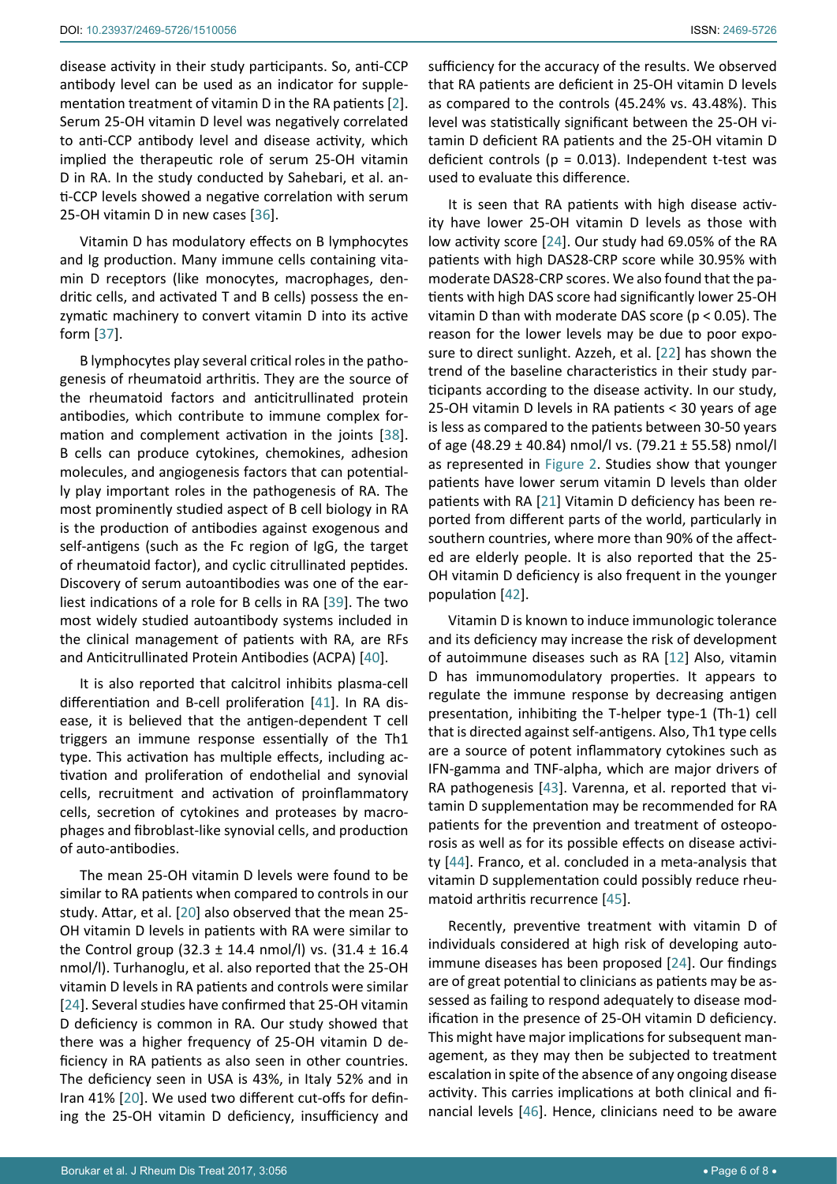disease activity in their study participants. So, anti-CCP antibody level can be used as an indicator for supplementation treatment of vitamin D in the RA patients [[2](#page-6-1)]. Serum 25-OH vitamin D level was negatively correlated to anti-CCP antibody level and disease activity, which implied the therapeutic role of serum 25-OH vitamin D in RA. In the study conducted by Sahebari, et al. anti-CCP levels showed a negative correlation with serum 25-OH vitamin D in new cases [\[36](#page-7-17)].

Vitamin D has modulatory effects on B lymphocytes and Ig production. Many immune cells containing vitamin D receptors (like monocytes, macrophages, dendritic cells, and activated T and B cells) possess the enzymatic machinery to convert vitamin D into its active form [\[37](#page-7-18)].

B lymphocytes play several critical roles in the pathogenesis of rheumatoid arthritis. They are the source of the rheumatoid factors and anticitrullinated protein antibodies, which contribute to immune complex formation and complement activation in the joints [\[38](#page-7-19)]. B cells can produce cytokines, chemokines, adhesion molecules, and angiogenesis factors that can potentially play important roles in the pathogenesis of RA. The most prominently studied aspect of B cell biology in RA is the production of antibodies against exogenous and self-antigens (such as the Fc region of IgG, the target of rheumatoid factor), and cyclic citrullinated peptides. Discovery of serum autoantibodies was one of the earliest indications of a role for B cells in RA [\[39\]](#page-7-20). The two most widely studied autoantibody systems included in the clinical management of patients with RA, are RFs and Anticitrullinated Protein Antibodies (ACPA) [\[40](#page-7-21)].

It is also reported that calcitrol inhibits plasma-cell differentiation and B-cell proliferation [\[41](#page-7-22)]. In RA disease, it is believed that the antigen-dependent T cell triggers an immune response essentially of the Th1 type. This activation has multiple effects, including activation and proliferation of endothelial and synovial cells, recruitment and activation of proinflammatory cells, secretion of cytokines and proteases by macrophages and fibroblast-like synovial cells, and production of auto-antibodies.

The mean 25-OH vitamin D levels were found to be similar to RA patients when compared to controls in our study. Attar, et al. [[20](#page-6-16)] also observed that the mean 25- OH vitamin D levels in patients with RA were similar to the Control group (32.3  $\pm$  14.4 nmol/l) vs. (31.4  $\pm$  16.4 nmol/l). Turhanoglu, et al. also reported that the 25-OH vitamin D levels in RA patients and controls were similar [[24](#page-7-1)]. Several studies have confirmed that 25-OH vitamin D deficiency is common in RA. Our study showed that there was a higher frequency of 25-OH vitamin D deficiency in RA patients as also seen in other countries. The deficiency seen in USA is 43%, in Italy 52% and in Iran 41% [[20](#page-6-16)]. We used two different cut-offs for defining the 25-OH vitamin D deficiency, insufficiency and sufficiency for the accuracy of the results. We observed that RA patients are deficient in 25-OH vitamin D levels as compared to the controls (45.24% vs. 43.48%). This level was statistically significant between the 25-OH vitamin D deficient RA patients and the 25-OH vitamin D deficient controls ( $p = 0.013$ ). Independent t-test was used to evaluate this difference.

It is seen that RA patients with high disease activity have lower 25-OH vitamin D levels as those with low activity score [[24\]](#page-7-1). Our study had 69.05% of the RA patients with high DAS28-CRP score while 30.95% with moderate DAS28-CRP scores. We also found that the patients with high DAS score had significantly lower 25-OH vitamin D than with moderate DAS score (p < 0.05). The reason for the lower levels may be due to poor exposure to direct sunlight. Azzeh, et al. [[22](#page-6-20)] has shown the trend of the baseline characteristics in their study participants according to the disease activity. In our study, 25-OH vitamin D levels in RA patients < 30 years of age is less as compared to the patients between 30-50 years of age (48.29  $\pm$  40.84) nmol/l vs. (79.21  $\pm$  55.58) nmol/l as represented in [Figure 2.](#page-4-0) Studies show that younger patients have lower serum vitamin D levels than older patients with RA [[21](#page-6-19)] Vitamin D deficiency has been reported from different parts of the world, particularly in southern countries, where more than 90% of the affected are elderly people. It is also reported that the 25- OH vitamin D deficiency is also frequent in the younger population [\[42](#page-7-12)].

Vitamin D is known to induce immunologic tolerance and its deficiency may increase the risk of development of autoimmune diseases such as RA [[12](#page-6-14)] Also, vitamin D has immunomodulatory properties. It appears to regulate the immune response by decreasing antigen presentation, inhibiting the T-helper type-1 (Th-1) cell that is directed against self-antigens. Also, Th1 type cells are a source of potent inflammatory cytokines such as IFN-gamma and TNF-alpha, which are major drivers of RA pathogenesis [\[43\]](#page-7-13). Varenna, et al. reported that vitamin D supplementation may be recommended for RA patients for the prevention and treatment of osteoporosis as well as for its possible effects on disease activity [[44\]](#page-7-14). Franco, et al. concluded in a meta-analysis that vitamin D supplementation could possibly reduce rheumatoid arthritis recurrence [[45\]](#page-7-15).

Recently, preventive treatment with vitamin D of individuals considered at high risk of developing autoimmune diseases has been proposed [[24\]](#page-7-1). Our findings are of great potential to clinicians as patients may be assessed as failing to respond adequately to disease modification in the presence of 25-OH vitamin D deficiency. This might have major implications for subsequent management, as they may then be subjected to treatment escalation in spite of the absence of any ongoing disease activity. This carries implications at both clinical and financial levels [\[46](#page-7-16)]. Hence, clinicians need to be aware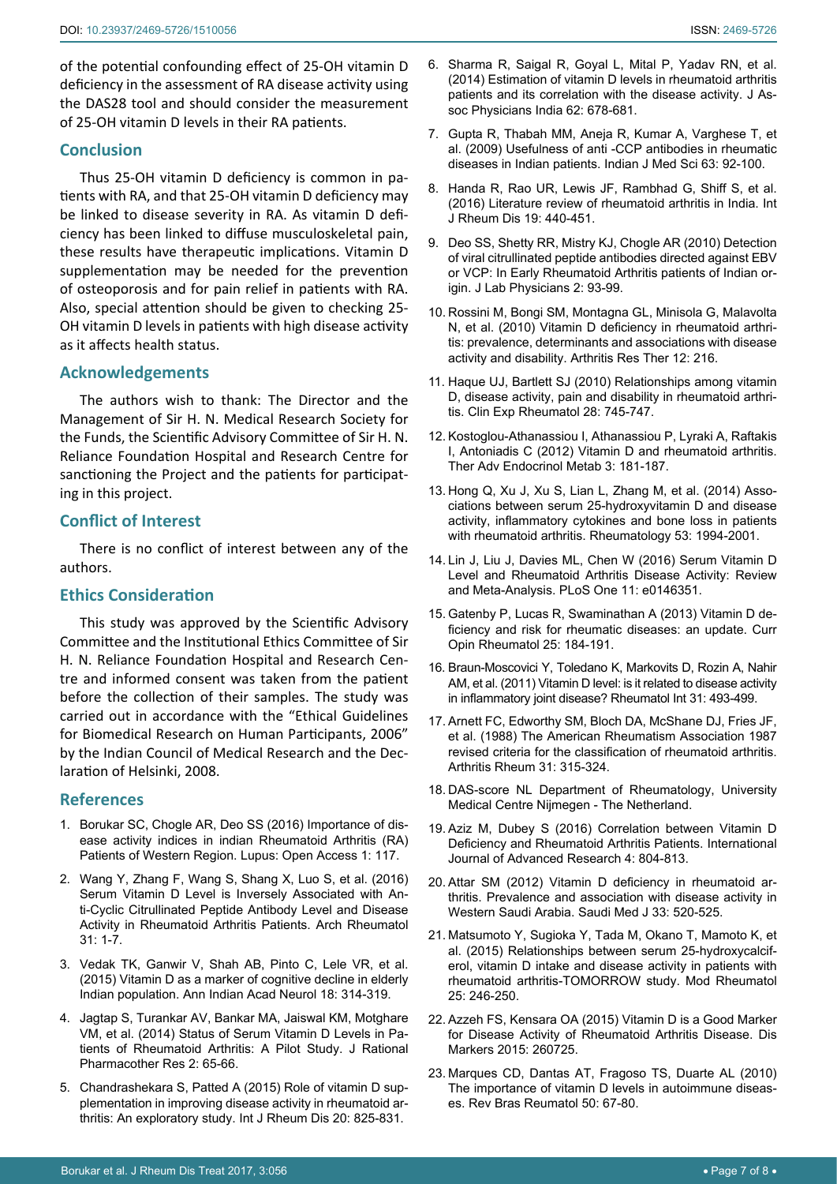of the potential confounding effect of 25-OH vitamin D deficiency in the assessment of RA disease activity using the DAS28 tool and should consider the measurement of 25-OH vitamin D levels in their RA patients.

#### **Conclusion**

Thus 25-OH vitamin D deficiency is common in patients with RA, and that 25-OH vitamin D deficiency may be linked to disease severity in RA. As vitamin D deficiency has been linked to diffuse musculoskeletal pain, these results have therapeutic implications. Vitamin D supplementation may be needed for the prevention of osteoporosis and for pain relief in patients with RA. Also, special attention should be given to checking 25- OH vitamin D levels in patients with high disease activity as it affects health status.

#### **Acknowledgements**

The authors wish to thank: The Director and the Management of Sir H. N. Medical Research Society for the Funds, the Scientific Advisory Committee of Sir H. N. Reliance Foundation Hospital and Research Centre for sanctioning the Project and the patients for participating in this project.

#### **Conflict of Interest**

There is no conflict of interest between any of the authors.

## **Ethics Consideration**

This study was approved by the Scientific Advisory Committee and the Institutional Ethics Committee of Sir H. N. Reliance Foundation Hospital and Research Centre and informed consent was taken from the patient before the collection of their samples. The study was carried out in accordance with the "Ethical Guidelines for Biomedical Research on Human Participants, 2006" by the Indian Council of Medical Research and the Declaration of Helsinki, 2008.

#### **References**

- <span id="page-6-0"></span>1. [Borukar SC, Chogle AR, Deo SS \(2016\) Importance of dis](https://www.omicsonline.org/open-access/importance-of-disease-activity-indices-in-indian-rheumatoid-arthritis-rapatients-of-western-region-.php?aid=80782)[ease activity indices in indian Rheumatoid Arthritis \(RA\)](https://www.omicsonline.org/open-access/importance-of-disease-activity-indices-in-indian-rheumatoid-arthritis-rapatients-of-western-region-.php?aid=80782)  [Patients of Western Region. Lupus: Open Access 1: 117.](https://www.omicsonline.org/open-access/importance-of-disease-activity-indices-in-indian-rheumatoid-arthritis-rapatients-of-western-region-.php?aid=80782)
- <span id="page-6-1"></span>2. [Wang Y, Zhang F, Wang S, Shang X, Luo S, et al. \(2016\)](https://www.google.co.in/url?sa=t&rct=j&q=&esrc=s&source=web&cd=2&ved=0ahUKEwi5q-rcmsLWAhUjT48KHfjQD9AQFggtMAE&url=http%3A%2F%2Fwww.archivesofrheumatology.org%2Ffull-text-pdf%2F756&usg=AFQjCNFo4VlNa5oLNKN6uCxiDIBBBRX2OA)  [Serum Vitamin D Level is Inversely Associated with An](https://www.google.co.in/url?sa=t&rct=j&q=&esrc=s&source=web&cd=2&ved=0ahUKEwi5q-rcmsLWAhUjT48KHfjQD9AQFggtMAE&url=http%3A%2F%2Fwww.archivesofrheumatology.org%2Ffull-text-pdf%2F756&usg=AFQjCNFo4VlNa5oLNKN6uCxiDIBBBRX2OA)[ti-Cyclic Citrullinated Peptide Antibody Level and Disease](https://www.google.co.in/url?sa=t&rct=j&q=&esrc=s&source=web&cd=2&ved=0ahUKEwi5q-rcmsLWAhUjT48KHfjQD9AQFggtMAE&url=http%3A%2F%2Fwww.archivesofrheumatology.org%2Ffull-text-pdf%2F756&usg=AFQjCNFo4VlNa5oLNKN6uCxiDIBBBRX2OA)  [Activity in Rheumatoid Arthritis Patients. Arch Rheumatol](https://www.google.co.in/url?sa=t&rct=j&q=&esrc=s&source=web&cd=2&ved=0ahUKEwi5q-rcmsLWAhUjT48KHfjQD9AQFggtMAE&url=http%3A%2F%2Fwww.archivesofrheumatology.org%2Ffull-text-pdf%2F756&usg=AFQjCNFo4VlNa5oLNKN6uCxiDIBBBRX2OA)  [31: 1-7.](https://www.google.co.in/url?sa=t&rct=j&q=&esrc=s&source=web&cd=2&ved=0ahUKEwi5q-rcmsLWAhUjT48KHfjQD9AQFggtMAE&url=http%3A%2F%2Fwww.archivesofrheumatology.org%2Ffull-text-pdf%2F756&usg=AFQjCNFo4VlNa5oLNKN6uCxiDIBBBRX2OA)
- <span id="page-6-2"></span>3. [Vedak TK, Ganwir V, Shah AB, Pinto C, Lele VR, et al.](https://www.ncbi.nlm.nih.gov/pubmed/26425010)  [\(2015\) Vitamin D as a marker of cognitive decline in elderly](https://www.ncbi.nlm.nih.gov/pubmed/26425010)  [Indian population. Ann Indian Acad Neurol 18: 314-319.](https://www.ncbi.nlm.nih.gov/pubmed/26425010)
- <span id="page-6-6"></span>4. [Jagtap S, Turankar AV, Bankar MA, Jaiswal KM, Motghare](http://isrpt.co.in/archives/7-Original Articlejuly.pdf)  [VM, et al. \(2014\) Status of Serum Vitamin D Levels in Pa](http://isrpt.co.in/archives/7-Original Articlejuly.pdf)[tients of Rheumatoid Arthritis: A Pilot Study. J Rational](http://isrpt.co.in/archives/7-Original Articlejuly.pdf)  [Pharmacother Res 2: 65-66](http://isrpt.co.in/archives/7-Original Articlejuly.pdf).
- <span id="page-6-7"></span>5. [Chandrashekara S, Patted A \(2015\) Role of vitamin D sup](https://www.ncbi.nlm.nih.gov/pubmed/26481198)[plementation in improving disease activity in rheumatoid ar](https://www.ncbi.nlm.nih.gov/pubmed/26481198)[thritis: An exploratory study. Int J Rheum Dis 20: 825-831.](https://www.ncbi.nlm.nih.gov/pubmed/26481198)
- <span id="page-6-8"></span>6. [Sharma R, Saigal R, Goyal L, Mital P, Yadav RN, et al.](https://www.ncbi.nlm.nih.gov/pubmed/25856934)  [\(2014\) Estimation of vitamin D levels in rheumatoid arthritis](https://www.ncbi.nlm.nih.gov/pubmed/25856934)  [patients and its correlation with the disease activity. J As](https://www.ncbi.nlm.nih.gov/pubmed/25856934)[soc Physicians India 62: 678-681.](https://www.ncbi.nlm.nih.gov/pubmed/25856934)
- <span id="page-6-9"></span>7. [Gupta R, Thabah MM, Aneja R, Kumar A, Varghese T, et](https://www.ncbi.nlm.nih.gov/pubmed/19359776)  [al. \(2009\) Usefulness of anti -CCP antibodies in rheumatic](https://www.ncbi.nlm.nih.gov/pubmed/19359776)  [diseases in Indian patients. Indian J Med Sci 63: 92-100.](https://www.ncbi.nlm.nih.gov/pubmed/19359776)
- <span id="page-6-10"></span>8. [Handa R, Rao UR, Lewis JF, Rambhad G, Shiff S, et al.](https://www.ncbi.nlm.nih.gov/pubmed/26171649)  [\(2016\) Literature review of rheumatoid arthritis in India. Int](https://www.ncbi.nlm.nih.gov/pubmed/26171649)  [J Rheum Dis 19: 440-451.](https://www.ncbi.nlm.nih.gov/pubmed/26171649)
- <span id="page-6-11"></span>9. [Deo SS, Shetty RR, Mistry KJ, Chogle AR \(2010\) Detection](https://www.ncbi.nlm.nih.gov/pubmed/21346905)  [of viral citrullinated peptide antibodies directed against EBV](https://www.ncbi.nlm.nih.gov/pubmed/21346905)  [or VCP: In Early Rheumatoid Arthritis patients of Indian or](https://www.ncbi.nlm.nih.gov/pubmed/21346905)[igin. J Lab Physicians 2: 93-99.](https://www.ncbi.nlm.nih.gov/pubmed/21346905)
- <span id="page-6-12"></span>10. [Rossini M, Bongi SM, Montagna GL, Minisola G, Malavolta](https://www.ncbi.nlm.nih.gov/pubmed/21114806)  [N, et al. \(2010\) Vitamin D deficiency in rheumatoid arthri](https://www.ncbi.nlm.nih.gov/pubmed/21114806)[tis: prevalence, determinants and associations with disease](https://www.ncbi.nlm.nih.gov/pubmed/21114806)  [activity and disability. Arthritis Res Ther 12: 216.](https://www.ncbi.nlm.nih.gov/pubmed/21114806)
- <span id="page-6-13"></span>11. [Haque UJ, Bartlett SJ \(2010\) Relationships among vitamin](https://www.ncbi.nlm.nih.gov/pubmed/20883640)  [D, disease activity, pain and disability in rheumatoid arthri](https://www.ncbi.nlm.nih.gov/pubmed/20883640)[tis. Clin Exp Rheumatol 28: 745-747.](https://www.ncbi.nlm.nih.gov/pubmed/20883640)
- <span id="page-6-14"></span>12. [Kostoglou-Athanassiou I, Athanassiou P, Lyraki A, Raftakis](https://www.ncbi.nlm.nih.gov/pubmed/23323190)  [I, Antoniadis C \(2012\) Vitamin D and rheumatoid arthritis.](https://www.ncbi.nlm.nih.gov/pubmed/23323190)  [Ther Adv Endocrinol Metab 3: 181-187.](https://www.ncbi.nlm.nih.gov/pubmed/23323190)
- <span id="page-6-15"></span>13. [Hong Q, Xu J, Xu S, Lian L, Zhang M, et al. \(2014\) Asso](https://www.ncbi.nlm.nih.gov/pubmed/24907153)[ciations between serum 25-hydroxyvitamin D and disease](https://www.ncbi.nlm.nih.gov/pubmed/24907153)  [activity, inflammatory cytokines and bone loss in patients](https://www.ncbi.nlm.nih.gov/pubmed/24907153)  [with rheumatoid arthritis. Rheumatology 53: 1994-2001.](https://www.ncbi.nlm.nih.gov/pubmed/24907153)
- <span id="page-6-3"></span>14. [Lin J, Liu J, Davies ML, Chen W \(2016\) Serum Vitamin D](https://www.ncbi.nlm.nih.gov/pubmed/26751969)  [Level and Rheumatoid Arthritis Disease Activity: Review](https://www.ncbi.nlm.nih.gov/pubmed/26751969)  [and Meta-Analysis. PLoS One 11: e0146351.](https://www.ncbi.nlm.nih.gov/pubmed/26751969)
- 15. [Gatenby P, Lucas R, Swaminathan A \(2013\) Vitamin D de](https://www.ncbi.nlm.nih.gov/pubmed/23370372)[ficiency and risk for rheumatic diseases: an update. Curr](https://www.ncbi.nlm.nih.gov/pubmed/23370372)  [Opin Rheumatol 25: 184-191.](https://www.ncbi.nlm.nih.gov/pubmed/23370372)
- <span id="page-6-4"></span>16. [Braun-Moscovici Y, Toledano K, Markovits D, Rozin A, Nahir](https://www.ncbi.nlm.nih.gov/pubmed/20033415)  [AM, et al. \(2011\) Vitamin D level: is it related to disease activity](https://www.ncbi.nlm.nih.gov/pubmed/20033415)  [in inflammatory joint disease? Rheumatol Int 31: 493-499.](https://www.ncbi.nlm.nih.gov/pubmed/20033415)
- <span id="page-6-5"></span>17. [Arnett FC, Edworthy SM, Bloch DA, McShane DJ, Fries JF,](https://www.ncbi.nlm.nih.gov/pubmed/3358796)  [et al. \(1988\) The American Rheumatism Association 1987](https://www.ncbi.nlm.nih.gov/pubmed/3358796)  [revised criteria for the classification of rheumatoid arthritis.](https://www.ncbi.nlm.nih.gov/pubmed/3358796)  [Arthritis Rheum 31: 315-324](https://www.ncbi.nlm.nih.gov/pubmed/3358796).
- <span id="page-6-17"></span>18. [DAS-score NL Department of Rheumatology, University](https://www.das-score.nl/das28/en/)  [Medical Centre Nijmegen - The Netherland.](https://www.das-score.nl/das28/en/)
- <span id="page-6-18"></span>19. [Aziz M, Dubey S \(2016\) Correlation between Vitamin D](http://www.academia.edu/27858734/Correlation_between_Vitamin_D_Deficiencyand_Rheumatoid_Arthritis_Patients)  [Deficiency and Rheumatoid Arthritis Patients. International](http://www.academia.edu/27858734/Correlation_between_Vitamin_D_Deficiencyand_Rheumatoid_Arthritis_Patients)  [Journal of Advanced Research 4: 804-813.](http://www.academia.edu/27858734/Correlation_between_Vitamin_D_Deficiencyand_Rheumatoid_Arthritis_Patients)
- <span id="page-6-16"></span>20. [Attar SM \(2012\) Vitamin D deficiency in rheumatoid ar](https://www.ncbi.nlm.nih.gov/pubmed/22588813)[thritis. Prevalence and association with disease activity in](https://www.ncbi.nlm.nih.gov/pubmed/22588813)  [Western Saudi Arabia. Saudi Med J 33: 520-525.](https://www.ncbi.nlm.nih.gov/pubmed/22588813)
- <span id="page-6-19"></span>21. [Matsumoto Y, Sugioka Y, Tada M, Okano T, Mamoto K, et](https://www.ncbi.nlm.nih.gov/pubmed/25211403)  [al. \(2015\) Relationships between serum 25-hydroxycalcif](https://www.ncbi.nlm.nih.gov/pubmed/25211403)[erol, vitamin D intake and disease activity in patients with](https://www.ncbi.nlm.nih.gov/pubmed/25211403)  [rheumatoid arthritis-TOMORROW study. Mod Rheumatol](https://www.ncbi.nlm.nih.gov/pubmed/25211403)  [25: 246-250.](https://www.ncbi.nlm.nih.gov/pubmed/25211403)
- <span id="page-6-20"></span>22. [Azzeh FS, Kensara OA \(2015\) Vitamin D is a Good Marker](https://www.ncbi.nlm.nih.gov/pubmed/26063950)  [for Disease Activity of Rheumatoid Arthritis Disease. Dis](https://www.ncbi.nlm.nih.gov/pubmed/26063950)  [Markers 2015: 260725.](https://www.ncbi.nlm.nih.gov/pubmed/26063950)
- <span id="page-6-21"></span>23. [Marques CD, Dantas AT, Fragoso TS, Duarte AL \(2010\)](https://www.ncbi.nlm.nih.gov/pubmed/21125142)  [The importance of vitamin D levels in autoimmune diseas](https://www.ncbi.nlm.nih.gov/pubmed/21125142)[es. Rev Bras Reumatol 50: 67-80.](https://www.ncbi.nlm.nih.gov/pubmed/21125142)